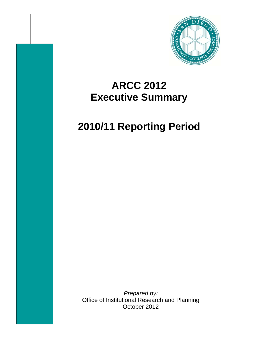

## **ARCC 2012 Executive Summary**

# **2010/11 Reporting Period**

*Prepared by:*  Office of Institutional Research and Planning October 2012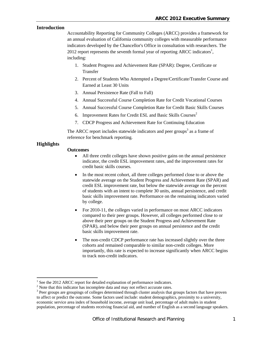#### **Introduction**

Accountability Reporting for Community Colleges (ARCC) provides a framework for an annual evaluation of California community colleges with measurable performance indicators developed by the Chancellor's Office in consultation with researchers. The 2012 report represents the seventh formal year of reporting ARCC indicators<sup>1</sup>, including:

- 1. Student Progress and Achievement Rate (SPAR): Degree, Certificate or Transfer
- 2. Percent of Students Who Attempted a Degree/Certificate/Transfer Course and Earned at Least 30 Units
- 3. Annual Persistence Rate (Fall to Fall)
- 4. Annual Successful Course Completion Rate for Credit Vocational Courses
- 5. Annual Successful Course Completion Rate for Credit Basic Skills Courses
- 6. Improvement Rates for Credit ESL and Basic Skills Courses<sup>2</sup>
- 7. CDCP Progress and Achievement Rate for Continuing Education

The ARCC report includes statewide indicators and peer groups<sup>3</sup> as a frame of reference for benchmark reporting.

#### **Highlights**

 $\overline{a}$ 

#### **Outcomes**

- All three credit colleges have shown positive gains on the annual persistence indicator, the credit ESL improvement rates, and the improvement rates for credit basic skills courses.
- In the most recent cohort, all three colleges performed close to or above the statewide average on the Student Progress and Achievement Rate (SPAR) and credit ESL improvement rate, but below the statewide average on the percent of students with an intent to complete 30 units, annual persistence, and credit basic skills improvement rate. Performance on the remaining indicators varied by college.
- For 2010-11, the colleges varied in performance on most ARCC indicators compared to their peer groups. However, all colleges performed close to or above their peer groups on the Student Progress and Achievement Rate (SPAR), and below their peer groups on annual persistence and the credit basic skills improvement rate.
- The non-credit CDCP performance rate has increased slightly over the three cohorts and remained comparable to similar non-credit colleges. More importantly, this rate is expected to increase significantly when ARCC begins to track non-credit indicators.

<sup>1</sup> See the 2012 ARCC report for detailed explanation of performance indicators.

 $2$  Note that this indicator has incomplete data and may not reflect accurate rates.

<sup>&</sup>lt;sup>3</sup> Peer groups are groupings of colleges determined through cluster analysis that groups factors that have proven to affect or predict the outcome. Some factors used include: student demographics, proximity to a university, economic service area index of household income, average unit load, percentage of adult males in student population, percentage of students receiving financial aid, and number of English as a second language speakers.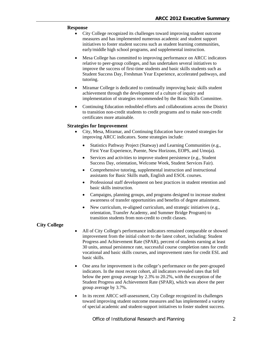#### **Response**

- City College recognized its challenges toward improving student outcome measures and has implemented numerous academic and student support initiatives to foster student success such as student learning communities, early/middle high school programs, and supplemental instruction.
- Mesa College has committed to improving performance on ARCC indicators relative to peer-group colleges, and has undertaken several initiatives to improve the success of first-time students and basic skills students such as Student Success Day, Freshman Year Experience, accelerated pathways, and tutoring.
- Miramar College is dedicated to continually improving basic skills student achievement through the development of a culture of inquiry and implementation of strategies recommended by the Basic Skills Committee.
- Continuing Education redoubled efforts and collaborations across the District to transition non-credit students to credit programs and to make non-credit certificates more attainable.

#### **Strategies for Improvement**

- City, Mesa, Miramar, and Continuing Education have created strategies for improving ARCC indicators. Some strategies include:
	- Statistics Pathway Project (Statway) and Learning Communities (e.g., First Year Experience, Puente, New Horizons, EOPS, and Umoja).
	- Services and activities to improve student persistence (e.g., Student Success Day, orientation, Welcome Week, Student Services Fair).
	- Comprehensive tutoring, supplemental instruction and instructional assistants for Basic Skills math, English and ESOL courses.
	- Professional staff development on best practices in student retention and basic skills instruction.
	- Campaigns, planning groups, and programs designed to increase student awareness of transfer opportunities and benefits of degree attainment.
	- New curriculum, re-aligned curriculum, and strategic initiatives (e.g., orientation, Transfer Academy, and Summer Bridge Program) to transition students from non-credit to credit classes.

#### **City College**

- All of City College's performance indicators remained comparable or showed improvement from the initial cohort to the latest cohort, including: Student Progress and Achievement Rate (SPAR), percent of students earning at least 30 units, annual persistence rate, successful course completion rates for credit vocational and basic skills courses, and improvement rates for credit ESL and basic skills.
- One area for improvement is the college's performance on the peer-grouped indicators. In the most recent cohort, all indicators revealed rates that fell below the peer group average by 2.3% to 20.2%, with the exception of the Student Progress and Achievement Rate (SPAR), which was above the peer group average by 3.7%.
- In its recent ARCC self-assessment, City College recognized its challenges toward improving student outcome measures and has implemented a variety of special academic and student-support initiatives to foster student success.